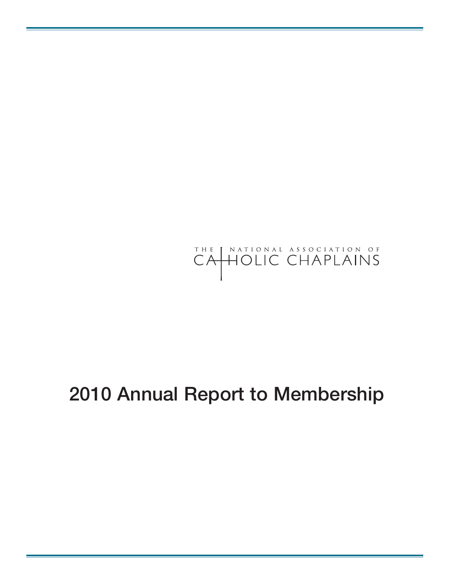

## **Annual Report to Membership**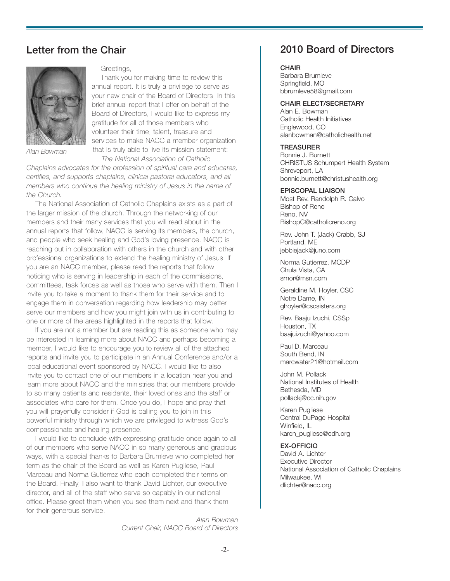### **Letter from the Chair**



*Alan Bowman*

#### Greetings,

Thank you for making time to review this annual report. It is truly a privilege to serve as your new chair of the Board of Directors. In this brief annual report that I offer on behalf of the Board of Directors, I would like to express my gratitude for all of those members who volunteer their time, talent, treasure and services to make NACC a member organization that is truly able to live its mission statement: *The National Association of Catholic*

*Chaplains advocates for the profession of spiritual care and educates, certifies, and supports chaplains, clinical pastoral educators, and all members who continue the healing ministry of Jesus in the name of the Church.*

The National Association of Catholic Chaplains exists as a part of the larger mission of the church. Through the networking of our members and their many services that you will read about in the annual reports that follow, NACC is serving its members, the church, and people who seek healing and God's loving presence. NACC is reaching out in collaboration with others in the church and with other professional organizations to extend the healing ministry of Jesus. If you are an NACC member, please read the reports that follow noticing who is serving in leadership in each of the commissions, committees, task forces as well as those who serve with them. Then I invite you to take a moment to thank them for their service and to engage them in conversation regarding how leadership may better serve our members and how you might join with us in contributing to one or more of the areas highlighted in the reports that follow.

If you are not a member but are reading this as someone who may be interested in learning more about NACC and perhaps becoming a member, I would like to encourage you to review all of the attached reports and invite you to participate in an Annual Conference and/or a local educational event sponsored by NACC. I would like to also invite you to contact one of our members in a location near you and learn more about NACC and the ministries that our members provide to so many patients and residents, their loved ones and the staff or associates who care for them. Once you do, I hope and pray that you will prayerfully consider if God is calling you to join in this powerful ministry through which we are privileged to witness God's compassionate and healing presence.

I would like to conclude with expressing gratitude once again to all of our members who serve NACC in so many generous and gracious ways, with a special thanks to Barbara Brumleve who completed her term as the chair of the Board as well as Karen Pugliese, Paul Marceau and Norma Gutierrez who each completed their terms on the Board. Finally, I also want to thank David Lichter, our executive director, and all of the staff who serve so capably in our national office. Please greet them when you see them next and thank them for their generous service.

> *Alan Bowman Current Chair, NACC Board of Directors*

## **2010 Board of Directors**

#### **CHAIR**

Barbara Brumleve Springfield, MO bbrumleve58@gmail.com

#### **CHAIR ELECT/SECRETARY**

Alan E. Bowman Catholic Health Initiatives Englewood, CO alanbowman@catholichealth.net

#### **TREASURER**

Bonnie J. Burnett CHRISTUS Schumpert Health System Shreveport, LA bonnie.burnett@christushealth.org

#### **EPISCOPAL LIAISON**

Most Rev. Randolph R. Calvo Bishop of Reno Reno, NV BishopC@catholicreno.org

Rev. John T. (Jack) Crabb, SJ Portland, ME jebbiejack@juno.com

Norma Gutierrez, MCDP Chula Vista, CA srnor@msn.com

Geraldine M. Hoyler, CSC Notre Dame, IN ghoyler@cscsisters.org

Rev. Baaju Izuchi, CSSp Houston, TX baajuizuchi@yahoo.com

Paul D. Marceau South Bend, IN marcwater21@hotmail.com

John M. Pollack National Institutes of Health Bethesda, MD pollackj@cc.nih.gov

Karen Pugliese Central DuPage Hospital Winfield, IL karen\_pugliese@cdh.org

**EX-OFFICIO** David A. Lichter Executive Director National Association of Catholic Chaplains Milwaukee, WI dlichter@nacc.org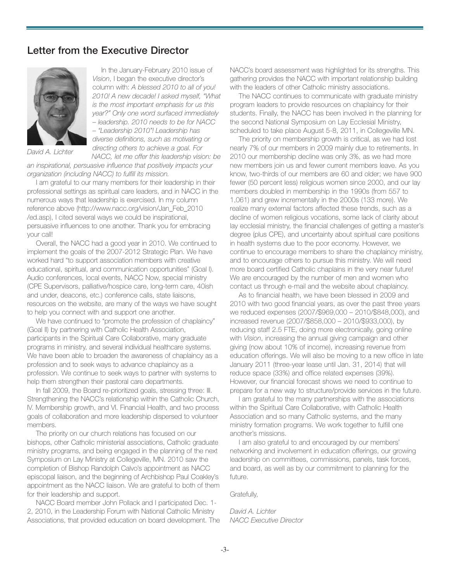#### **Letter from the Executive Director**



*David A. Lichter*

In the January-February 2010 issue of *Vision*, I began the executive director's column with: *A blessed 2010 to all of you! 2010! A new decade! I asked myself, "What is the most important emphasis for us this year?" Only one word surfaced immediately – leadership. 2010 needs to be for NACC – "Leadership 2010"! Leadership has diverse definitions, such as motivating or directing others to achieve a goal. For NACC, let me offer this leadership vision: be*

*an inspirational, persuasive influence that positively impacts your organization (including NACC) to fulfill its mission.*

I am grateful to our many members for their leadership in their professional settings as spiritual care leaders, and in NACC in the numerous ways that leadership is exercised. In my column reference above (http://www.nacc.org/vision/Jan\_Feb\_2010 /ed.asp), I cited several ways we could be inspirational, persuasive influences to one another. Thank you for embracing your call!

Overall, the NACC had a good year in 2010. We continued to implement the goals of the 2007-2012 Strategic Plan. We have worked hard "to support association members with creative educational, spiritual, and communication opportunities" (Goal I). Audio conferences, local events, NACC Now, special ministry (CPE Supervisors, palliative/hospice care, long-term care, 40ish and under, deacons, etc.) conference calls, state liaisons, resources on the website, are many of the ways we have sought to help you connect with and support one another.

We have continued to "promote the profession of chaplaincy" (Goal II) by partnering with Catholic Health Association, participants in the Spiritual Care Collaborative, many graduate programs in ministry, and several individual healthcare systems. We have been able to broaden the awareness of chaplaincy as a profession and to seek ways to advance chaplaincy as a profession. We continue to seek ways to partner with systems to help them strengthen their pastoral care departments.

In fall 2009, the Board re-prioritized goals, stressing three: III. Strengthening the NACC's relationship within the Catholic Church, IV. Membership growth, and VI. Financial Health, and two process goals of collaboration and more leadership dispersed to volunteer members.

The priority on our church relations has focused on our bishops, other Catholic ministerial associations, Catholic graduate ministry programs, and being engaged in the planning of the next Symposium on Lay Ministry at Collegeville, MN. 2010 saw the completion of Bishop Randolph Calvo's appointment as NACC episcopal liaison, and the beginning of Archbishop Paul Coakley's appointment as the NACC liaison. We are grateful to both of them for their leadership and support.

NACC Board member John Pollack and I participated Dec. 1- 2, 2010, in the Leadership Forum with National Catholic Ministry Associations, that provided education on board development. The NACC's board assessment was highlighted for its strengths. This gathering provides the NACC with important relationship building with the leaders of other Catholic ministry associations.

The NACC continues to communicate with graduate ministry program leaders to provide resources on chaplaincy for their students. Finally, the NACC has been involved in the planning for the second National Symposium on Lay Ecclesial Ministry, scheduled to take place August 5-8, 2011, in Collegeville MN.

The priority on membership growth is critical, as we had lost nearly 7% of our members in 2009 mainly due to retirements. In 2010 our membership decline was only 3%, as we had more new members join us and fewer current members leave. As you know, two-thirds of our members are 60 and older; we have 900 fewer (50 percent less) religious women since 2000, and our lay members doubled in membership in the 1990s (from 557 to 1,061) and grew incrementally in the 2000s (133 more). We realize many external factors affected these trends, such as a decline of women religious vocations, some lack of clarity about lay ecclesial ministry, the financial challenges of getting a master's degree (plus CPE), and uncertainty about spiritual care positions in health systems due to the poor economy. However, we continue to encourage members to share the chaplaincy ministry, and to encourage others to pursue this ministry. We will need more board certified Catholic chaplains in the very near future! We are encouraged by the number of men and women who contact us through e-mail and the website about chaplaincy.

As to financial health, we have been blessed in 2009 and 2010 with two good financial years, as over the past three years we reduced expenses (2007/\$969,000 – 2010/\$848,000), and increased revenue (2007/\$858,000 – 2010/\$933,000), by reducing staff 2.5 FTE, doing more electronically, going online with *Vision*, increasing the annual giving campaign and other giving (now about 10% of income), increasing revenue from education offerings. We will also be moving to a new office in late January 2011 (three-year lease until Jan. 31, 2014) that will reduce space (33%) and office related expenses (39%). However, our financial forecast shows we need to continue to prepare for a new way to structure/provide services in the future.

I am grateful to the many partnerships with the associations within the Spiritual Care Collaborative, with Catholic Health Association and so many Catholic systems, and the many ministry formation programs. We work together to fulfill one another's missions.

I am also grateful to and encouraged by our members' networking and involvement in education offerings, our growing leadership on committees, commissions, panels, task forces, and board, as well as by our commitment to planning for the future.

Gratefully,

*David A. Lichter NACC Executive Director*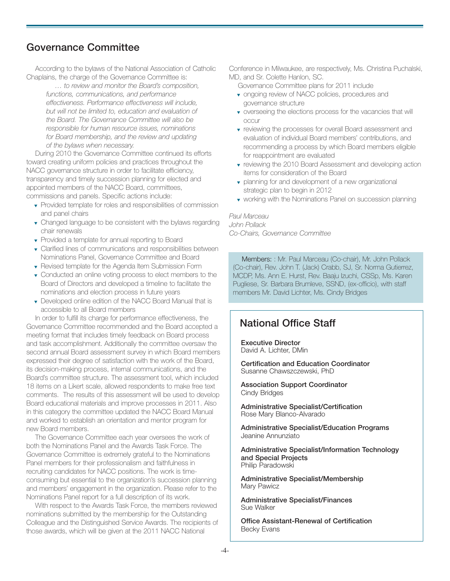## **Governance Committee**

According to the bylaws of the National Association of Catholic Chaplains, the charge of the Governance Committee is:

> *… to review and monitor the Board's composition, functions, communications, and performance effectiveness. Performance effectiveness will include, but will not be limited to, education and evaluation of the Board. The Governance Committee will also be responsible for human resource issues, nominations for Board membership, and the review and updating of the bylaws when necessary.*

During 2010 the Governance Committee continued its efforts toward creating uniform policies and practices throughout the NACC governance structure in order to facilitate efficiency, transparency and timely succession planning for elected and appointed members of the NACC Board, committees, commissions and panels. Specific actions include:

- ▼ Provided template for roles and responsibilities of commission and panel chairs
- ▼ Changed language to be consistent with the bylaws regarding chair renewals
- ▼ Provided a template for annual reporting to Board
- ▼ Clarified lines of communications and responsibilities between Nominations Panel, Governance Committee and Board
- ▼ Revised template for the Agenda Item Submission Form
- ▼ Conducted an online voting process to elect members to the Board of Directors and developed a timeline to facilitate the nominations and election process in future years
- ▼ Developed online edition of the NACC Board Manual that is accessible to all Board members

In order to fulfill its charge for performance effectiveness, the Governance Committee recommended and the Board accepted a meeting format that includes timely feedback on Board process and task accomplishment. Additionally the committee oversaw the second annual Board assessment survey in which Board members expressed their degree of satisfaction with the work of the Board, its decision-making process, internal communications, and the Board's committee structure. The assessment tool, which included 18 items on a Likert scale, allowed respondents to make free text comments. The results of this assessment will be used to develop Board educational materials and improve processes in 2011. Also in this category the committee updated the NACC Board Manual and worked to establish an orientation and mentor program for new Board members.

The Governance Committee each year oversees the work of both the Nominations Panel and the Awards Task Force. The Governance Committee is extremely grateful to the Nominations Panel members for their professionalism and faithfulness in recruiting candidates for NACC positions. The work is timeconsuming but essential to the organization's succession planning and members' engagement in the organization. Please refer to the Nominations Panel report for a full description of its work.

With respect to the Awards Task Force, the members reviewed nominations submitted by the membership for the Outstanding Colleague and the Distinguished Service Awards. The recipients of those awards, which will be given at the 2011 NACC National

Conference in Milwaukee, are respectively, Ms. Christina Puchalski, MD, and Sr. Colette Hanlon, SC.

Governance Committee plans for 2011 include

- ▼ ongoing review of NACC policies, procedures and governance structure
- ▼ overseeing the elections process for the vacancies that will occur
- ▼ reviewing the processes for overall Board assessment and evaluation of individual Board members' contributions, and recommending a process by which Board members eligible for reappointment are evaluated
- ▼ reviewing the 2010 Board Assessment and developing action items for consideration of the Board
- ▼ planning for and development of a new organizational strategic plan to begin in 2012
- ▼ working with the Nominations Panel on succession planning

#### *Paul Marceau John Pollack Co-Chairs, Governance Committee*

Members: : Mr. Paul Marceau (Co-chair), Mr. John Pollack (Co-chair), Rev. John T. (Jack) Crabb, SJ, Sr. Norma Gutierrez, MCDP, Ms. Ann E. Hurst, Rev. Baaju Izuchi, CSSp, Ms. Karen Pugliese, Sr. Barbara Brumleve, SSND, (ex-officio), with staff members Mr. David Lichter, Ms. Cindy Bridges

## **National Office Staff**

**Executive Director** David A. Lichter, DMin

**Certification and Education Coordinator** Susanne Chawszczewski, PhD

**Association Support Coordinator** Cindy Bridges

**Administrative Specialist/Certification** Rose Mary Blanco-Alvarado

**Administrative Specialist/Education Programs** Jeanine Annunziato

**Administrative Specialist/Information Technology and Special Projects** Philip Paradowski

**Administrative Specialist/Membership** Mary Pawicz

**Administrative Specialist/Finances** Sue Walker

**Office Assistant-Renewal of Certification** Becky Evans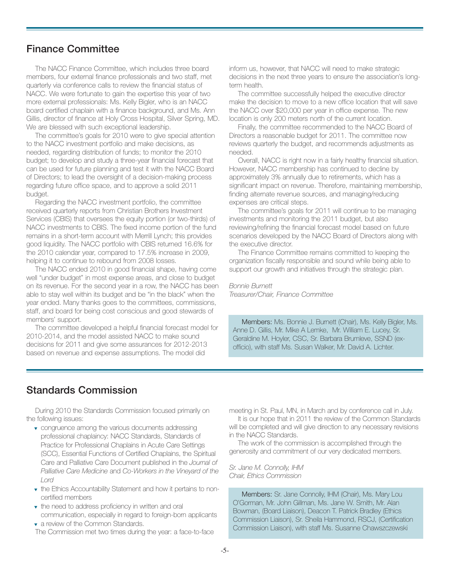## **Finance Committee**

The NACC Finance Committee, which includes three board members, four external finance professionals and two staff, met quarterly via conference calls to review the financial status of NACC. We were fortunate to gain the expertise this year of two more external professionals: Ms. Kelly Bigler, who is an NACC board certified chaplain with a finance background, and Ms. Ann Gillis, director of finance at Holy Cross Hospital, Silver Spring, MD. We are blessed with such exceptional leadership.

The committee's goals for 2010 were to give special attention to the NACC investment portfolio and make decisions, as needed, regarding distribution of funds; to monitor the 2010 budget; to develop and study a three-year financial forecast that can be used for future planning and test it with the NACC Board of Directors; to lead the oversight of a decision-making process regarding future office space, and to approve a solid 2011 budget.

Regarding the NACC investment portfolio, the committee received quarterly reports from Christian Brothers Investment Services (CBIS) that oversees the equity portion (or two-thirds) of NACC investments to CBIS. The fixed income portion of the fund remains in a short-term account with Merrill Lynch; this provides good liquidity. The NACC portfolio with CBIS returned 16.6% for the 2010 calendar year, compared to 17.5% increase in 2009, helping it to continue to rebound from 2008 losses.

The NACC ended 2010 in good financial shape, having come well "under budget" in most expense areas, and close to budget on its revenue. For the second year in a row, the NACC has been able to stay well within its budget and be "in the black" when the year ended. Many thanks goes to the committees, commissions, staff, and board for being cost conscious and good stewards of members' support.

The committee developed a helpful financial forecast model for 2010-2014, and the model assisted NACC to make sound decisions for 2011 and give some assurances for 2012-2013 based on revenue and expense assumptions. The model did

inform us, however, that NACC will need to make strategic decisions in the next three years to ensure the association's longterm health.

The committee successfully helped the executive director make the decision to move to a new office location that will save the NACC over \$20,000 per year in office expense. The new location is only 200 meters north of the current location.

Finally, the committee recommended to the NACC Board of Directors a reasonable budget for 2011. The committee now reviews quarterly the budget, and recommends adjustments as needed.

Overall, NACC is right now in a fairly healthy financial situation. However, NACC membership has continued to decline by approximately 3% annually due to retirements, which has a significant impact on revenue. Therefore, maintaining membership, finding alternate revenue sources, and managing/reducing expenses are critical steps.

The committee's goals for 2011 will continue to be managing investments and monitoring the 2011 budget, but also reviewing/refining the financial forecast model based on future scenarios developed by the NACC Board of Directors along with the executive director.

The Finance Committee remains committed to keeping the organization fiscally responsible and sound while being able to support our growth and initiatives through the strategic plan.

*Bonnie Burnett Treasurer/Chair, Finance Committee*

Members: Ms. Bonnie J. Burnett (Chair), Ms. Kelly Bigler, Ms. Anne D. Gillis, Mr. Mike A Lemke, Mr. William E. Lucey, Sr. Geraldine M. Hoyler, CSC, Sr. Barbara Brumleve, SSND (exofficio), with staff Ms. Susan Walker, Mr. David A. Lichter.

#### **Standards Commission**

During 2010 the Standards Commission focused primarily on the following issues:

- ▼ congruence among the various documents addressing professional chaplaincy: NACC Standards, Standards of Practice for Professional Chaplains in Acute Care Settings (SCC), Essential Functions of Certified Chaplains, the Spiritual Care and Palliative Care Document published in the *Journal of Palliative Care Medicine* and *Co-Workers in the Vineyard of the Lord*
- ▼ the Ethics Accountability Statement and how it pertains to noncertified members
- ▼ the need to address proficiency in written and oral communication, especially in regard to foreign-born applicants ▼ a review of the Common Standards.

The Commission met two times during the year: a face-to-face

meeting in St. Paul, MN, in March and by conference call in July.

It is our hope that in 2011 the review of the Common Standards will be completed and will give direction to any necessary revisions in the NACC Standards.

The work of the commission is accomplished through the generosity and commitment of our very dedicated members.

*Sr. Jane M. Connolly, IHM Chair, Ethics Commission*

Members: Sr. Jane Connolly, IHM (Chair), Ms. Mary Lou O'Gorman, Mr. John Gillman, Ms. Jane W. Smith, Mr. Alan Bowman, (Board Liaison), Deacon T. Patrick Bradley (Ethics Commission Liaison), Sr. Sheila Hammond, RSCJ, (Certification Commission Liaison), with staff Ms. Susanne Chawszczewski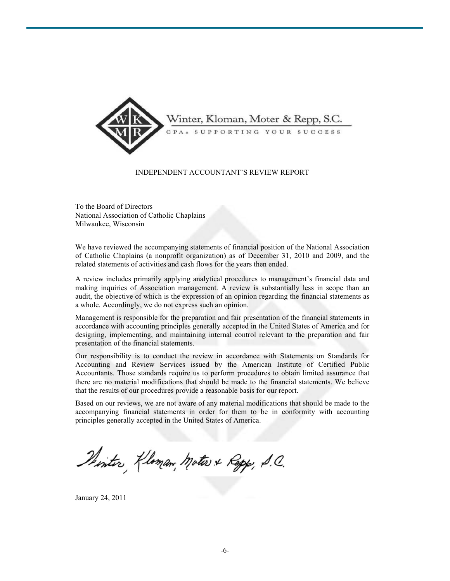

#### INDEPENDENT ACCOUNTANT'S REVIEW REPORT

To the Board of Directors National Association of Catholic Chaplains Milwaukee, Wisconsin

We have reviewed the accompanying statements of financial position of the National Association of Catholic Chaplains (a nonprofit organization) as of December 31, 2010 and 2009, and the related statements of activities and cash flows for the years then ended.

A review includes primarily applying analytical procedures to management's financial data and making inquiries of Association management. A review is substantially less in scope than an audit, the objective of which is the expression of an opinion regarding the financial statements as a whole. Accordingly, we do not express such an opinion.

Management is responsible for the preparation and fair presentation of the financial statements in accordance with accounting principles generally accepted in the United States of America and for designing, implementing, and maintaining internal control relevant to the preparation and fair presentation of the financial statements.

Our responsibility is to conduct the review in accordance with Statements on Standards for Accounting and Review Services issued by the American Institute of Certified Public Accountants. Those standards require us to perform procedures to obtain limited assurance that there are no material modifications that should be made to the financial statements. We believe that the results of our procedures provide a reasonable basis for our report.

Based on our reviews, we are not aware of any material modifications that should be made to the accompanying financial statements in order for them to be in conformity with accounting principles generally accepted in the United States of America.

Phintis Kloman, Moters & Repp, S.C.

January 24, 2011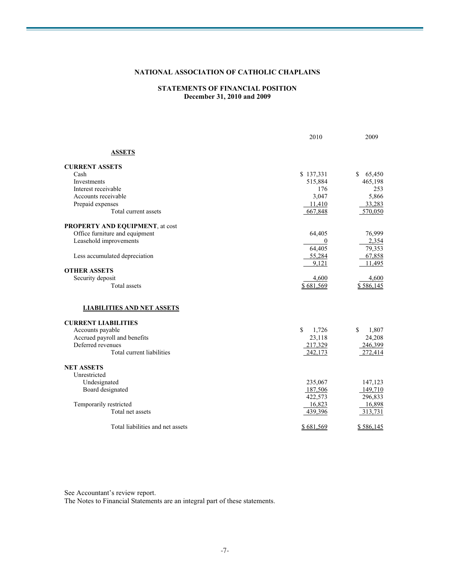#### **NATIONAL ASSOCIATION OF CATHOLIC CHAPLAINS**

#### **STATEMENTS OF FINANCIAL POSITION December 31, 2010 and 2009**

|                                        | 2010         | 2009         |
|----------------------------------------|--------------|--------------|
| <b>ASSETS</b>                          |              |              |
| <b>CURRENT ASSETS</b>                  |              |              |
| Cash                                   | \$137,331    | \$<br>65,450 |
| Investments                            | 515,884      | 465,198      |
| Interest receivable                    | 176          | 253          |
| Accounts receivable                    | 3,047        | 5,866        |
| Prepaid expenses                       | 11,410       | 33,283       |
| Total current assets                   | 667,848      | 570,050      |
| <b>PROPERTY AND EQUIPMENT, at cost</b> |              |              |
| Office furniture and equipment         | 64,405       | 76,999       |
| Leasehold improvements                 | $\bf{0}$     | 2,354        |
|                                        | 64,405       | 79,353       |
| Less accumulated depreciation          | 55,284       | 67,858       |
|                                        | 9,121        | 11,495       |
| <b>OTHER ASSETS</b>                    |              |              |
| Security deposit                       | 4,600        | 4,600        |
| <b>Total assets</b>                    | \$681,569    | \$586,145    |
| <b>LIABILITIES AND NET ASSETS</b>      |              |              |
| <b>CURRENT LIABILITIES</b>             |              |              |
| Accounts payable                       | \$.<br>1,726 | \$<br>1,807  |
| Accrued payroll and benefits           | 23,118       | 24,208       |
| Deferred revenues                      | 217,329      | 246,399      |
| Total current liabilities              | 242,173      | 272,414      |
| <b>NET ASSETS</b>                      |              |              |
| Unrestricted                           |              |              |
| Undesignated                           | 235,067      | 147,123      |
| Board designated                       | 187,506      | 149,710      |
|                                        | 422,573      | 296,833      |
| Temporarily restricted                 | 16,823       | 16,898       |
| Total net assets                       | 439,396      | 313,731      |
| Total liabilities and net assets       | \$681,569    | \$586,145    |
|                                        |              |              |

See Accountant's review report.

The Notes to Financial Statements are an integral part of these statements.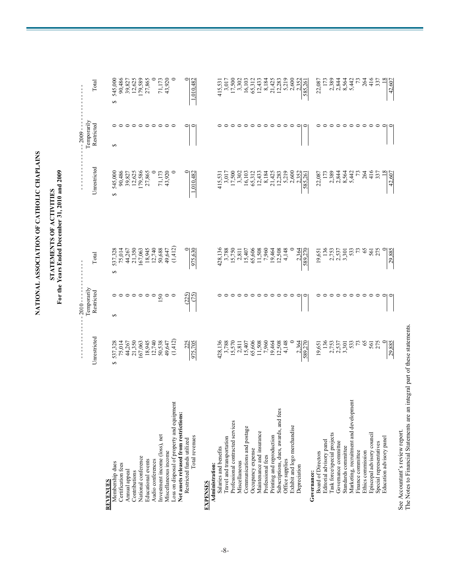## STATEMENTS OF ACTIVITIES<br>For the Years Ended December 31, 2010 and 2009 **For the Years Ended December 31, 2010 and 2009 STATEMENTS OF ACTIVITIES**

|                                            |                                        | 2010        |                                             |                                                                                                           | $-2009 -$   |                                                          |
|--------------------------------------------|----------------------------------------|-------------|---------------------------------------------|-----------------------------------------------------------------------------------------------------------|-------------|----------------------------------------------------------|
|                                            |                                        | Temporarily |                                             |                                                                                                           | Temporarily |                                                          |
|                                            | Unrestricted                           | Restricted  | Total                                       | Unrestricted                                                                                              | Restricted  | Total                                                    |
| <b>REVENUES</b>                            |                                        |             |                                             |                                                                                                           |             |                                                          |
| Membership dues                            | 537,328<br>↔                           | $\Theta$    | $\Theta$                                    | ↮                                                                                                         | $\Theta$    | 545,000<br>5                                             |
| Certification fees                         |                                        |             |                                             |                                                                                                           |             |                                                          |
| Annual appeal                              | 75,014<br>44,267<br>21,350             |             | 537,328<br>75,014<br>44,267<br>21,350       |                                                                                                           |             |                                                          |
| Contributions                              |                                        |             |                                             |                                                                                                           |             |                                                          |
| National conference                        |                                        |             | 167,063                                     | 545,000<br>90,486<br>39,827<br>12,625<br>179,5865                                                         |             | 90,486<br>39,827<br>12,625<br>179,589<br>27,865          |
| Educational events                         |                                        | っ           |                                             |                                                                                                           |             |                                                          |
| Audio conferences                          | 167,063<br>18,945<br>12,740            | $\circ$     | 18,945<br>12,740                            |                                                                                                           |             |                                                          |
| Investment income (loss), net              | 50,538                                 | 150         |                                             |                                                                                                           |             |                                                          |
|                                            |                                        |             | $50,688$<br>49,647                          | 71,173<br>43,920                                                                                          | ○           | 71,173<br>43,920                                         |
| Miscellaneous income                       | 49,647                                 |             |                                             |                                                                                                           |             |                                                          |
| Loss on disposal of property and equipment | (1,412)                                |             | (1,412)                                     |                                                                                                           |             |                                                          |
| Net assets released from restrictions:     |                                        |             |                                             |                                                                                                           |             |                                                          |
| Restricted funds utilized                  | 225                                    | (225)       |                                             |                                                                                                           |             |                                                          |
| Total revenues                             | 975,705                                | (75)        | 975,630                                     | 1,010,482                                                                                                 |             | 1,010,482                                                |
| <b>EXPENSES</b>                            |                                        |             |                                             |                                                                                                           |             |                                                          |
| Administration:                            |                                        |             |                                             |                                                                                                           |             |                                                          |
| Salaries and benefits                      |                                        |             |                                             |                                                                                                           |             |                                                          |
| Travel and transportation                  |                                        |             |                                             |                                                                                                           |             |                                                          |
| Professional contracted services           | $428,136$<br>3,788<br>15,570<br>15,811 |             | $428,136$<br>$3,788$<br>$15,750$<br>$2,811$ | 415,531<br>3,017<br>17,500<br>17,500<br>3,302                                                             |             | 415,531<br>3,017<br>17,500<br>17,500                     |
| Miscellaneous                              |                                        |             |                                             |                                                                                                           |             |                                                          |
| Communications and postage                 | 15,407                                 |             | 15,407                                      |                                                                                                           |             |                                                          |
| Occupancy expense                          | 65,606                                 |             | 65,606                                      |                                                                                                           |             |                                                          |
| Maintenance and insurance                  | 11,508                                 |             | 11,508                                      |                                                                                                           |             | 16,103<br>65,312<br>12,433                               |
| Professional fees                          | 7,960                                  |             |                                             |                                                                                                           |             |                                                          |
| Printing and reproduction                  |                                        | ○           | 7,960<br>19,464                             |                                                                                                           |             |                                                          |
| Subscriptions, dues, awards, and fees      | 19,464<br>12,508                       | ○           | 12,508                                      |                                                                                                           |             |                                                          |
| Office supplies                            | 4,148                                  | $\circ$     | 4,148                                       | $\begin{array}{r} 16,103 \\ 65,312 \\ 65,313 \\ 12,433 \\ 8,184 \\ 21,425 \\ 12,283 \\ 5,219 \end{array}$ |             |                                                          |
| Exhibit and logo merchandise               |                                        | $\circ$     |                                             |                                                                                                           |             |                                                          |
| Depreciation                               |                                        | $\circ$     | 2,364                                       |                                                                                                           | ∊           |                                                          |
|                                            | 389,270                                | $\circ$     | 589.270                                     | 2,600<br>2,352<br>585,261                                                                                 |             | 8,184<br>21,425<br>21,283<br>12,585<br>26,585<br>285,261 |
| Governance:                                |                                        |             |                                             |                                                                                                           |             |                                                          |
| <b>Board of Directors</b>                  | 19,651                                 |             | 19,651                                      | 22,087                                                                                                    |             | 22,087                                                   |
| Editorial advisory panel                   | 136                                    |             | $\frac{136}{5}$                             |                                                                                                           |             | $\overline{17}$                                          |
| Task force/special projects                |                                        |             |                                             |                                                                                                           |             |                                                          |
| Governance committee                       |                                        |             |                                             |                                                                                                           |             |                                                          |
| Standards committee                        | 2,753<br>2,537<br>3,301                |             | $2,753$<br>$2,537$<br>$3,301$               | 2,389<br>2,844<br>8,564                                                                                   |             |                                                          |
| Marketing, recruitment and development     | 533                                    |             | 533                                         | 5,442                                                                                                     |             |                                                          |
| Finance committee                          | 52                                     |             |                                             |                                                                                                           |             |                                                          |
| Ethics commission                          | 65                                     | っ           |                                             | 264                                                                                                       |             | 264                                                      |
| Episcopal advisory council                 | 561                                    | ᅌ           | 561                                         | 416                                                                                                       |             | $\frac{416}{337}$                                        |
| Special representatives                    |                                        | $\circ$     | 275                                         |                                                                                                           |             |                                                          |
| Education advisory panel                   |                                        | $\circ$     |                                             |                                                                                                           |             |                                                          |
|                                            | 29,885                                 |             | 29,885                                      | 42,607                                                                                                    |             | 42,607                                                   |

See Accountant's review report.

See Accountant's review report.<br>The Notes to Financial Statements are an integral part of these statements. The Notes to Financial Statements are an integral part of these statements.

NATIONAL ASSOCIATION OF CATHOLIC CHAPLAINS **NATIONAL ASSOCIATION OF CATHOLIC CHAPLAINS**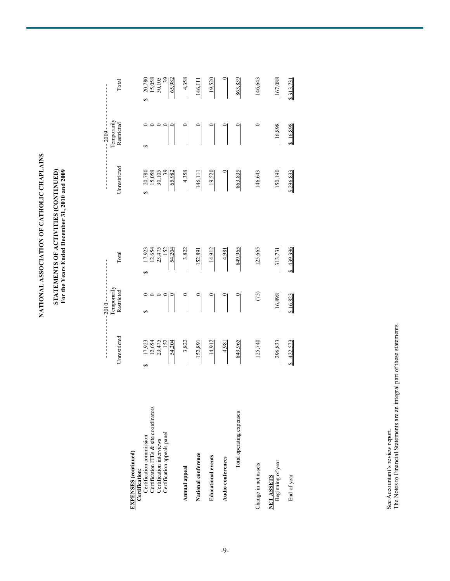NATIONAL ASSOCIATION OF CATHOLIC CHAPLAINS **NATIONAL ASSOCIATION OF CATHOLIC CHAPLAINS**

# STATEMENTS OF ACTIVITIES (CONTINUED)<br>For the Years Ended December 31, 2010 and 2009 **STATEMENTS OF ACTIVITIES (CONTINUED) For the Years Ended December 31, 2010 and 2009**

|                                                                                                                                                                                |                                                                           | $2010 - - -$              |                                                                              |                                                        | $-2009 -$                 |                                           |
|--------------------------------------------------------------------------------------------------------------------------------------------------------------------------------|---------------------------------------------------------------------------|---------------------------|------------------------------------------------------------------------------|--------------------------------------------------------|---------------------------|-------------------------------------------|
|                                                                                                                                                                                | Unrestricted                                                              | Temporarily<br>Restricted | Total                                                                        | Unrestricted                                           | Temporarily<br>Restricted | Total                                     |
| Certification ITEs & site coordinators<br>Certification appeals panel<br>Certification commission<br>Certification interviews<br><b>EXPENSES</b> (continued)<br>Certification: | $\frac{17,923}{12,654}$<br>$\frac{152}{152}$<br>$\frac{152}{54,204}$<br>5 | 5                         | $\frac{17,923}{12,654}$<br>$\frac{12,475}{152}$<br>$\frac{152}{54,204}$<br>S | $\frac{39}{65,982}$<br>20,780<br>15,058<br>30,105<br>5 | 5                         | 20,780<br>15,058<br>30,105<br>30,982<br>5 |
| Annual appeal                                                                                                                                                                  | 3,822                                                                     |                           | 3,822                                                                        | 4,358                                                  |                           | 4,358                                     |
| National conference                                                                                                                                                            | 152,891                                                                   |                           | 152,891                                                                      | 146,111                                                |                           | 146,111                                   |
| <b>Educational</b> events                                                                                                                                                      | 14,912                                                                    |                           | 14,912                                                                       | 19,520                                                 |                           | 19,520                                    |
| Audio conferences                                                                                                                                                              | 4,981                                                                     |                           | 4,981                                                                        |                                                        |                           |                                           |
| Total operating expenses                                                                                                                                                       | 849,965                                                                   |                           | 849,965                                                                      | 863,839                                                |                           | 863,839                                   |
| Change in net assets                                                                                                                                                           | 125,740                                                                   | (75)                      | 125,665                                                                      | 146,643                                                | $\circ$                   | 146,643                                   |
| <b>NET ASSETS</b><br>Beginning of year                                                                                                                                         | 296,833                                                                   | 16,898                    | 313,73                                                                       | 150,190                                                | 16,898                    | 167,088                                   |
| End of year                                                                                                                                                                    | 422,573                                                                   | \$16,823                  | \$439,396                                                                    | \$296,833                                              | \$16,898                  | \$313,731                                 |

See Accountant's review report.<br>The Notes to Financial Statements are an integral part of these statements. The Notes to Financial Statements are an integral part of these statements. See Accountant's review report.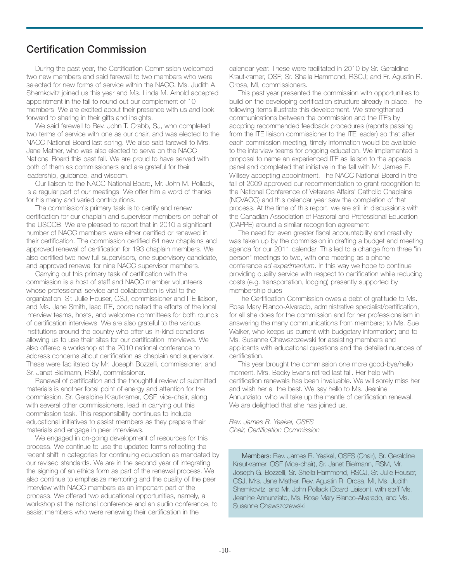## **Certification Commission**

During the past year, the Certification Commission welcomed two new members and said farewell to two members who were selected for new forms of service within the NACC. Ms. Judith A. Shemkovitz joined us this year and Ms. Linda M. Arnold accepted appointment in the fall to round out our complement of 10 members. We are excited about their presence with us and look forward to sharing in their gifts and insights.

We said farewell to Rev. John T. Crabb, SJ, who completed two terms of service with one as our chair, and was elected to the NACC National Board last spring. We also said farewell to Mrs. Jane Mather, who was also elected to serve on the NACC National Board this past fall. We are proud to have served with both of them as commissioners and are grateful for their leadership, guidance, and wisdom.

Our liaison to the NACC National Board, Mr. John M. Pollack, is a regular part of our meetings. We offer him a word of thanks for his many and varied contributions.

The commission's primary task is to certify and renew certification for our chaplain and supervisor members on behalf of the USCCB. We are pleased to report that in 2010 a significant number of NACC members were either certified or renewed in their certification. The commission certified 64 new chaplains and approved renewal of certification for 193 chaplain members. We also certified two new full supervisors, one supervisory candidate, and approved renewal for nine NACC supervisor members.

Carrying out this primary task of certification with the commission is a host of staff and NACC member volunteers whose professional service and collaboration is vital to the organization. Sr. Julie Houser, CSJ, commissioner and ITE liaison, and Ms. Jane Smith, lead ITE, coordinated the efforts of the local interview teams, hosts, and welcome committees for both rounds of certification interviews. We are also grateful to the various institutions around the country who offer us in-kind donations allowing us to use their sites for our certification interviews. We also offered a workshop at the 2010 national conference to address concerns about certification as chaplain and supervisor. These were facilitated by Mr. Joseph Bozzelli, commissioner, and Sr. Janet Bielmann, RSM, commissioner.

Renewal of certification and the thoughtful review of submitted materials is another focal point of energy and attention for the commission. Sr. Geraldine Krautkramer, OSF, vice-chair, along with several other commissioners, lead in carrying out this commission task. This responsibility continues to include educational initiatives to assist members as they prepare their materials and engage in peer interviews.

We engaged in on-going development of resources for this process. We continue to use the updated forms reflecting the recent shift in categories for continuing education as mandated by our revised standards. We are in the second year of integrating the signing of an ethics form as part of the renewal process. We also continue to emphasize mentoring and the quality of the peer interview with NACC members as an important part of the process. We offered two educational opportunities, namely, a workshop at the national conference and an audio conference, to assist members who were renewing their certification in the

calendar year. These were facilitated in 2010 by Sr. Geraldine Krautkramer, OSF; Sr. Sheila Hammond, RSCJ; and Fr. Agustin R. Orosa, MI, commissioners.

This past year presented the commission with opportunities to build on the developing certification structure already in place. The following items illustrate this development. We strengthened communications between the commission and the ITEs by adopting recommended feedback procedures (reports passing from the ITE liaison commissioner to the ITE leader) so that after each commission meeting, timely information would be available to the interview teams for ongoing education. We implemented a proposal to name an experienced ITE as liaison to the appeals panel and completed that initiative in the fall with Mr. James E. Willsey accepting appointment. The NACC National Board in the fall of 2009 approved our recommendation to grant recognition to the National Conference of Veterans Affairs' Catholic Chaplains (NCVACC) and this calendar year saw the completion of that process. At the time of this report, we are still in discussions with the Canadian Association of Pastoral and Professional Education (CAPPE) around a similar recognition agreement.

The need for even greater fiscal accountability and creativity was taken up by the commission in drafting a budget and meeting agenda for our 2011 calendar. This led to a change from three "in person" meetings to two, with one meeting as a phone conference *ad experimentum*. In this way we hope to continue providing quality service with respect to certification while reducing costs (e.g. transportation, lodging) presently supported by membership dues.

The Certification Commission owes a debt of gratitude to Ms. Rose Mary Blanco-Alvarado, administrative specialist/certification, for all she does for the commission and for her professionalism in answering the many communications from members; to Ms. Sue Walker, who keeps us current with budgetary information; and to Ms. Susanne Chawszczewski for assisting members and applicants with educational questions and the detailed nuances of certification.

This year brought the commission one more good-bye/hello moment. Mrs. Becky Evans retired last fall. Her help with certification renewals has been invaluable. We will sorely miss her and wish her all the best. We say hello to Ms. Jeanine Annunziato, who will take up the mantle of certification renewal. We are delighted that she has joined us.

*Rev. James R. Yeakel, OSFS Chair, Certification Commission*

Members: Rev. James R. Yeakel, OSFS (Chair), Sr. Geraldine Krautkramer, OSF (Vice-chair), Sr. Janet Bielmann, RSM, Mr. Joseph G. Bozzelli, Sr. Sheila Hammond, RSCJ, Sr. Julie Houser, CSJ, Mrs. Jane Mather, Rev. Agustin R. Orosa, MI, Ms. Judith Shemkovitz, and Mr. John Pollack (Board Liaison), with staff Ms. Jeanine Annunziato, Ms. Rose Mary Blanco-Alvarado, and Ms. Susanne Chawszczewski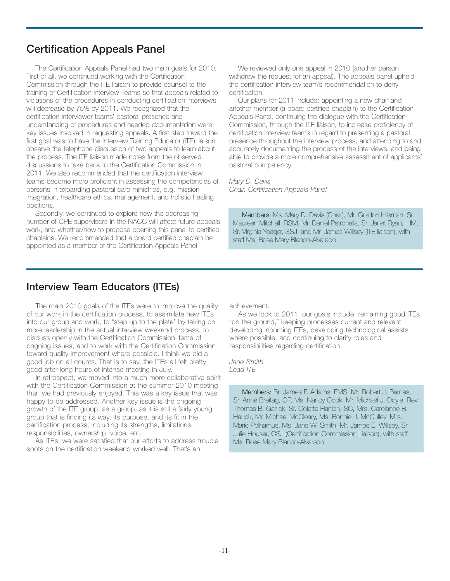## **Certification Appeals Panel**

The Certification Appeals Panel had two main goals for 2010. First of all, we continued working with the Certification Commission through the ITE liaison to provide counsel to the training of Certification Interview Teams so that appeals related to violations of the procedures in conducting certification interviews will decrease by 75% by 2011. We recognized that the certification interviewer teams' pastoral presence and understanding of procedures and needed documentation were key issues involved in requesting appeals. A first step toward the first goal was to have the Interview Training Educator (ITE) liaison observe the telephone discussion of two appeals to learn about the process. The ITE liaison made notes from the observed discussions to take back to the Certification Commission in 2011. We also recommended that the certification interview teams become more proficient in assessing the competencies of persons in expanding pastoral care ministries, e.g. mission integration, healthcare ethics, management, and holistic healing positions.

Secondly, we continued to explore how the decreasing number of CPE supervisors in the NACC will affect future appeals work, and whether/how to propose opening this panel to certified chaplains. We recommended that a board certified chaplain be appointed as a member of the Certification Appeals Panel.

We reviewed only one appeal in 2010 (another person withdrew the request for an appeal). The appeals panel upheld the certification interview team's recommendation to deny certification.

Our plans for 2011 include: appointing a new chair and another member (a board certified chaplain) to the Certification Appeals Panel, continuing the dialogue with the Certification Commission, through the ITE liaison, to increase proficiency of certification interview teams in regard to presenting a pastoral presence throughout the interview process, and attending to and accurately documenting the process of the interviews, and being able to provide a more comprehensive assessment of applicants' pastoral competency.

*Mary D. Davis Chair, Certification Appeals Panel*

Members: Ms. Mary D. Davis (Chair), Mr. Gordon Hilsman, Sr. Maureen Mitchell, RSM, Mr. Daniel Petronella, Sr. Janet Ryan, IHM, Sr. Virginia Yeager, SSJ, and Mr. James Willsey (ITE liaison), with staff Ms. Rose Mary Blanco-Alvarado

## **Interview Team Educators (ITEs)**

The main 2010 goals of the ITEs were to improve the quality of our work in the certification process, to assimilate new ITEs into our group and work, to "step up to the plate" by taking on more leadership in the actual interview weekend process, to discuss openly with the Certification Commission items of ongoing issues, and to work with the Certification Commission toward quality improvement where possible. I think we did a good job on all counts. That is to say, the ITEs all felt pretty good after long hours of intense meeting in July.

In retrospect, we moved into a much more collaborative spirit with the Certification Commission at the summer 2010 meeting than we had previously enjoyed. This was a key issue that was happy to be addressed. Another key issue is the ongoing growth of the ITE group, as a group, as it is still a fairly young group that is finding its way, its purpose, and its fit in the certification process, including its strengths, limitations, responsibilities, ownership, voice, etc.

As ITEs, we were satisfied that our efforts to address trouble spots on the certification weekend worked well. That's an

achievement.

As we look to 2011, our goals include: remaining good ITEs "on the ground," keeping processes current and relevant, developing incoming ITEs, developing technological assists where possible, and continuing to clarify roles and responsibilities regarding certification.

*Jane Smith Lead ITE*

> Members: Br. James F. Adams, FMS, Mr. Robert J. Barnes, Sr. Anne Breitag, OP, Ms. Nancy Cook, Mr. Michael J. Doyle, Rev. Thomas B. Garlick, Sr. Colette Hanlon, SC, Mrs. Carolanne B. Hauck, Mr. Michael McCleary, Ms. Bonnie J. McCulley, Mrs. Marie Polhamus, Ms. Jane W. Smith, Mr. James E. Willsey, Sr. Julie Houser, CSJ (Certification Commission Liaison), with staff Ms. Rose Mary Blanco-Alvarado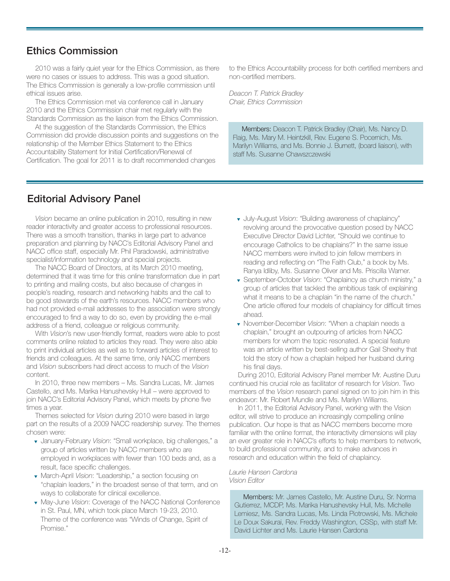## **Ethics Commission**

2010 was a fairly quiet year for the Ethics Commission, as there were no cases or issues to address. This was a good situation. The Ethics Commission is generally a low-profile commission until ethical issues arise.

The Ethics Commission met via conference call in January 2010 and the Ethics Commission chair met regularly with the Standards Commission as the liaison from the Ethics Commission.

At the suggestion of the Standards Commission, the Ethics Commission did provide discussion points and suggestions on the relationship of the Member Ethics Statement to the Ethics Accountability Statement for Initial Certification/Renewal of Certification. The goal for 2011 is to draft recommended changes

to the Ethics Accountability process for both certified members and non-certified members.

*Deacon T. Patrick Bradley Chair, Ethics Commission*

Members: Deacon T. Patrick Bradley (Chair), Ms. Nancy D. Flaig, Ms. Mary M. Heintzkill, Rev. Eugene S. Pocernich, Ms. Marilyn Williams, and Ms. Bonnie J. Burnett, (board liaison), with staff Ms. Susanne Chawszczewski

## **Editorial Advisory Panel**

*Vision* became an online publication in 2010, resulting in new reader interactivity and greater access to professional resources. There was a smooth transition, thanks in large part to advance preparation and planning by NACC's Editorial Advisory Panel and NACC office staff, especially Mr. Phil Paradowski, administrative specialist/information technology and special projects.

The NACC Board of Directors, at its March 2010 meeting, determined that it was time for this online transformation due in part to printing and mailing costs, but also because of changes in people's reading, research and networking habits and the call to be good stewards of the earth's resources. NACC members who had not provided e-mail addresses to the association were strongly encouraged to find a way to do so, even by providing the e-mail address of a friend, colleague or religious community.

With *Vision*'s new user-friendly format, readers were able to post comments online related to articles they read. They were also able to print individual articles as well as to forward articles of interest to friends and colleagues. At the same time, only NACC members and *Vision* subscribers had direct access to much of the *Vision* content.

In 2010, three new members – Ms. Sandra Lucas, Mr. James Castello, and Ms. Marika Hanushevsky Hull – were approved to join NACC's Editorial Advisory Panel, which meets by phone five times a year.

Themes selected for *Vision* during 2010 were based in large part on the results of a 2009 NACC readership survey. The themes chosen were:

- ▼ January-February *Vision*: "Small workplace, big challenges," a group of articles written by NACC members who are employed in workplaces with fewer than 100 beds and, as a result, face specific challenges.
- ▼ March-April *Vision*: "Leadership," a section focusing on "chaplain leaders," in the broadest sense of that term, and on ways to collaborate for clinical excellence.
- ▼ May-June *Vision*: Coverage of the NACC National Conference in St. Paul, MN, which took place March 19-23, 2010. Theme of the conference was "Winds of Change, Spirit of Promise."
- ▼ July-August *Vision*: "Building awareness of chaplaincy" revolving around the provocative question posed by NACC Executive Director David Lichter, "Should we continue to encourage Catholics to be chaplains?" In the same issue NACC members were invited to join fellow members in reading and reflecting on "The Faith Club," a book by Ms. Ranya Idliby, Ms. Susanne Oliver and Ms. Priscilla Warner.
- ▼ September-October *Vision*: "Chaplaincy as church ministry," a group of articles that tackled the ambitious task of explaining what it means to be a chaplain "in the name of the church." One article offered four models of chaplaincy for difficult times ahead.
- ▼ November-December *Vision*: "When a chaplain needs a chaplain," brought an outpouring of articles from NACC members for whom the topic resonated. A special feature was an article written by best-selling author Gail Sheehy that told the story of how a chaplain helped her husband during his final days.

During 2010, Editorial Advisory Panel member Mr. Austine Duru continued his crucial role as facilitator of research for *Vision*. Two members of the *Vision* research panel signed on to join him in this endeavor: Mr. Robert Mundle and Ms. Marilyn Williams.

In 2011, the Editorial Advisory Panel, working with the Vision editor, will strive to produce an increasingly compelling online publication. Our hope is that as NACC members become more familiar with the online format, the interactivity dimensions will play an ever greater role in NACC's efforts to help members to network, to build professional community, and to make advances in research and education within the field of chaplaincy.

#### *Laurie Hansen Cardona Vision Editor*

Members: Mr. James Castello, Mr. Austine Duru, Sr. Norma Gutierrez, MCDP, Ms. Marika Hanushevsky Hull, Ms. Michelle Lemiesz, Ms. Sandra Lucas, Ms. Linda Piotrowski, Ms. Michele Le Doux Sakurai, Rev. Freddy Washington, CSSp, with staff Mr. David Lichter and Ms. Laurie Hansen Cardona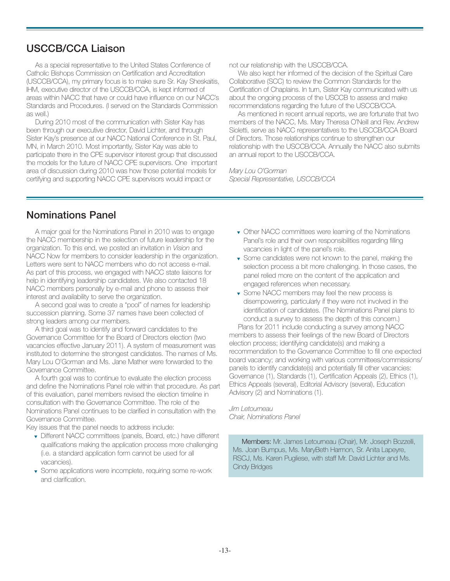## **USCCB/CCA Liaison**

As a special representative to the United States Conference of Catholic Bishops Commission on Certification and Accreditation (USCCB/CCA), my primary focus is to make sure Sr. Kay Sheskaitis, IHM, executive director of the USCCB/CCA, is kept informed of areas within NACC that have or could have influence on our NACC's Standards and Procedures. (I served on the Standards Commission as well.)

During 2010 most of the communication with Sister Kay has been through our executive director, David Lichter, and through Sister Kay's presence at our NACC National Conference in St. Paul, MN, in March 2010. Most importantly, Sister Kay was able to participate there in the CPE supervisor interest group that discussed the models for the future of NACC CPE supervisors. One important area of discussion during 2010 was how those potential models for certifying and supporting NACC CPE supervisors would impact or

not our relationship with the USCCB/CCA.

We also kept her informed of the decision of the Spiritual Care Collaborative (SCC) to review the Common Standards for the Certification of Chaplains. In turn, Sister Kay communicated with us about the ongoing process of the USCCB to assess and make recommendations regarding the future of the USCCB/CCA.

As mentioned in recent annual reports, we are fortunate that two members of the NACC, Ms. Mary Theresa O'Neill and Rev. Andrew Sioletti, serve as NACC representatives to the USCCB/CCA Board of Directors. Those relationships continue to strengthen our relationship with the USCCB/CCA. Annually the NACC also submits an annual report to the USCCB/CCA.

*Mary Lou O'Gorman Special Representative, USCCB/CCA*

## **Nominations Panel**

A major goal for the Nominations Panel in 2010 was to engage the NACC membership in the selection of future leadership for the organization. To this end, we posted an invitation in *Vision* and NACC Now for members to consider leadership in the organization. Letters were sent to NACC members who do not access e-mail. As part of this process, we engaged with NACC state liaisons for help in identifying leadership candidates. We also contacted 18 NACC members personally by e-mail and phone to assess their interest and availability to serve the organization.

A second goal was to create a "pool" of names for leadership succession planning. Some 37 names have been collected of strong leaders among our members.

A third goal was to identify and forward candidates to the Governance Committee for the Board of Directors election (two vacancies effective January 2011). A system of measurement was instituted to determine the strongest candidates. The names of Ms. Mary Lou O'Gorman and Ms. Jane Mather were forwarded to the Governance Committee.

A fourth goal was to continue to evaluate the election process and define the Nominations Panel role within that procedure. As part of this evaluation, panel members revised the election timeline in consultation with the Governance Committee. The role of the Nominations Panel continues to be clarified in consultation with the Governance Committee.

Key issues that the panel needs to address include:

- ▼ Different NACC committees (panels, Board, etc.) have different qualifications making the application process more challenging (i.e. a standard application form cannot be used for all vacancies).
- ▼ Some applications were incomplete, requiring some re-work and clarification.
- ▼ Other NACC committees were learning of the Nominations Panel's role and their own responsibilities regarding filling vacancies in light of the panel's role.
- ▼ Some candidates were not known to the panel, making the selection process a bit more challenging. In those cases, the panel relied more on the content of the application and engaged references when necessary.
- ▼ Some NACC members may feel the new process is disempowering, particularly if they were not involved in the identification of candidates. (The Nominations Panel plans to conduct a survey to assess the depth of this concern.)

Plans for 2011 include conducting a survey among NACC members to assess their feelings of the new Board of Directors election process; identifying candidate(s) and making a recommendation to the Governance Committee to fill one expected board vacancy; and working with various committees/commissions/ panels to identify candidate(s) and potentially fill other vacancies: Governance (1), Standards (1), Certification Appeals (2), Ethics (1), Ethics Appeals (several), Editorial Advisory (several), Education Advisory (2) and Nominations (1).

*Jim Letourneau Chair, Nominations Panel*

Members: Mr. James Letourneau (Chair), Mr. Joseph Bozzelli, Ms. Joan Bumpus, Ms. MaryBeth Harmon, Sr. Anita Lapeyre, RSCJ, Ms. Karen Pugliese, with staff Mr. David Lichter and Ms. Cindy Bridges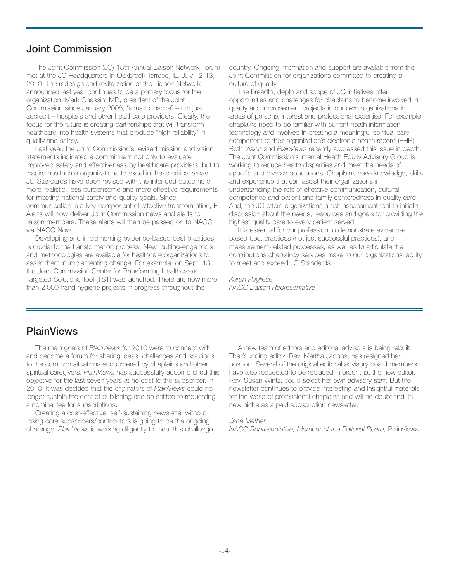## **Joint Commission**

The Joint Commission (JC) 18th Annual Liaison Network Forum met at the JC Headquarters in Oakbrook Terrace, IL, July 12-13, 2010. The redesign and revitalization of the Liaison Network announced last year continues to be a primary focus for the organization. Mark Chassin, MD, president of the Joint Commission since January 2008, "aims to inspire" – not just accredit – hospitals and other healthcare providers. Clearly, the focus for the future is creating partnerships that will transform healthcare into health systems that produce "high reliability" in quality and safety.

Last year, the Joint Commission's revised mission and vision statements indicated a commitment not only to evaluate improved safety and effectiveness by healthcare providers, but to inspire healthcare organizations to excel in these critical areas. JC Standards have been revised with the intended outcome of more realistic, less burdensome and more effective requirements for meeting national safety and quality goals. Since communication is a key component of effective transformation, E-Alerts will now deliver Joint Commission news and alerts to liaison members. These alerts will then be passed on to NACC via NACC Now.

Developing and implementing evidence-based best practices is crucial to the transformation process. New, cutting-edge tools and methodologies are available for healthcare organizations to assist them in implementing change. For example, on Sept. 13, the Joint Commission Center for Transforming Healthcare's Targeted Solutions Tool (TST) was launched. There are now more than 2,000 hand hygiene projects in progress throughout the

country. Ongoing information and support are available from the Joint Commission for organizations committed to creating a culture of quality.

The breadth, depth and scope of JC initiatives offer opportunities and challenges for chaplains to become involved in quality and improvement projects in our own organizations in areas of personal interest and professional expertise. For example, chaplains need to be familiar with current heath information technology and involved in creating a meaningful spiritual care component of their organization's electronic health record (EHR). Both *Vision* and *Plainviews* recently addressed this issue in depth. The Joint Commission's internal Health Equity Advisory Group is working to reduce health disparities and meet the needs of specific and diverse populations. Chaplains have knowledge, skills and experience that can assist their organizations in understanding the role of effective communication, cultural competence and patient and family centeredness in quality care. And, the JC offers organizations a self-assessment tool to initiate discussion about the needs, resources and goals for providing the highest quality care to every patient served.

It is essential for our profession to demonstrate evidencebased best practices (not just successful practices), and measurement-related processes, as well as to articulate the contributions chaplaincy services make to our organizations' ability to meet and exceed JC Standards.

*Karen Pugliese NACC Liaison Representative*

#### **PlainViews**

The main goals of *PlainViews* for 2010 were to connect with and become a forum for sharing ideas, challenges and solutions to the common situations encountered by chaplains and other spiritual caregivers. *PlainViews* has successfully accomplished this objective for the last seven years at no cost to the subscriber. In 2010, it was decided that the originators of *PlainViews* could no longer sustain the cost of publishing and so shifted to requesting a nominal fee for subscriptions.

Creating a cost-effective, self-sustaining newsletter without losing core subscribers/contributors is going to be the ongoing challenge. *PlainViews* is working diligently to meet this challenge.

A new team of editors and editorial advisors is being rebuilt. The founding editor, Rev. Martha Jacobs, has resigned her position. Several of the original editorial advisory board members have also requested to be replaced in order that the new editor, Rev. Susan Wintz, could select her own advisory staff. But the newsletter continues to provide interesting and insightful materials for the world of professional chaplains and will no doubt find its new niche as a paid subscription newsletter.

#### *Jane Mather*

*NACC Representative, Member of the Editorial Board,* PlainViews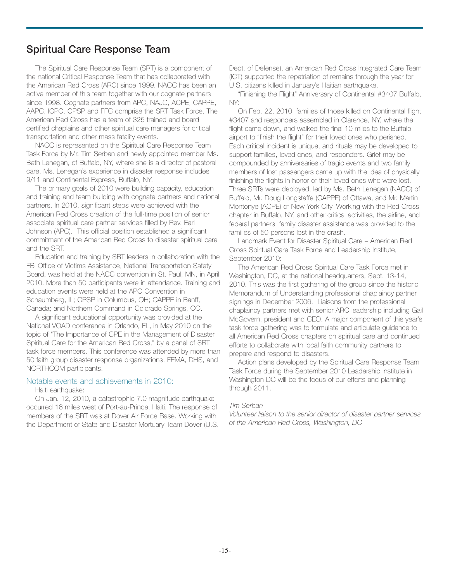## **Spiritual Care Response Team**

The Spiritual Care Response Team (SRT) is a component of the national Critical Response Team that has collaborated with the American Red Cross (ARC) since 1999. NACC has been an active member of this team together with our cognate partners since 1998. Cognate partners from APC, NAJC, ACPE, CAPPE, AAPC, ICPC, CPSP and FFC comprise the SRT Task Force. The American Red Cross has a team of 325 trained and board certified chaplains and other spiritual care managers for critical transportation and other mass fatality events.

NACC is represented on the Spiritual Care Response Team Task Force by Mr. Tim Serban and newly appointed member Ms. Beth Lenegan, of Buffalo, NY, where she is a director of pastoral care. Ms. Lenegan's experience in disaster response includes 9/11 and Continental Express, Buffalo, NY.

The primary goals of 2010 were building capacity, education and training and team building with cognate partners and national partners. In 2010, significant steps were achieved with the American Red Cross creation of the full-time position of senior associate spiritual care partner services filled by Rev. Earl Johnson (APC). This official position established a significant commitment of the American Red Cross to disaster spiritual care and the SRT.

Education and training by SRT leaders in collaboration with the FBI Office of Victims Assistance, National Transportation Safety Board, was held at the NACC convention in St. Paul, MN, in April 2010. More than 50 participants were in attendance. Training and education events were held at the APC Convention in Schaumberg, IL; CPSP in Columbus, OH; CAPPE in Banff, Canada; and Northern Command in Colorado Springs, CO.

A significant educational opportunity was provided at the National VOAD conference in Orlando, FL, in May 2010 on the topic of "The Importance of CPE in the Management of Disaster Spiritual Care for the American Red Cross," by a panel of SRT task force members. This conference was attended by more than 50 faith group disaster response organizations, FEMA, DHS, and NORTHCOM participants.

#### Notable events and achievements in 2010:

#### Haiti earthquake:

On Jan. 12, 2010, a catastrophic 7.0 magnitude earthquake occurred 16 miles west of Port-au-Prince, Haiti. The response of members of the SRT was at Dover Air Force Base. Working with the Department of State and Disaster Mortuary Team Dover (U.S. Dept. of Defense), an American Red Cross Integrated Care Team (ICT) supported the repatriation of remains through the year for U.S. citizens killed in January's Haitian earthquake.

"Finishing the Flight" Anniversary of Continental #3407 Buffalo, NY:

On Feb. 22, 2010, families of those killed on Continental flight #3407 and responders assembled in Clarence, NY, where the flight came down, and walked the final 10 miles to the Buffalo airport to "finish the flight" for their loved ones who perished. Each critical incident is unique, and rituals may be developed to support families, loved ones, and responders. Grief may be compounded by anniversaries of tragic events and two family members of lost passengers came up with the idea of physically finishing the flights in honor of their loved ones who were lost. Three SRTs were deployed, led by Ms. Beth Lenegan (NACC) of Buffalo, Mr. Doug Longstaffe (CAPPE) of Ottawa, and Mr. Martin Montonye (ACPE) of New York City. Working with the Red Cross chapter in Buffalo, NY, and other critical activities, the airline, and federal partners, family disaster assistance was provided to the families of 50 persons lost in the crash.

Landmark Event for Disaster Spiritual Care – American Red Cross Spiritual Care Task Force and Leadership Institute, September 2010:

The American Red Cross Spiritual Care Task Force met in Washington, DC, at the national headquarters, Sept. 13-14, 2010. This was the first gathering of the group since the historic Memorandum of Understanding professional chaplaincy partner signings in December 2006. Liaisons from the professional chaplaincy partners met with senior ARC leadership including Gail McGovern, president and CEO. A major component of this year's task force gathering was to formulate and articulate guidance to all American Red Cross chapters on spiritual care and continued efforts to collaborate with local faith community partners to prepare and respond to disasters.

Action plans developed by the Spiritual Care Response Team Task Force during the September 2010 Leadership Institute in Washington DC will be the focus of our efforts and planning through 2011.

#### *Tim Serban*

*Volunteer liaison to the senior director of disaster partner services of the American Red Cross, Washington, DC*